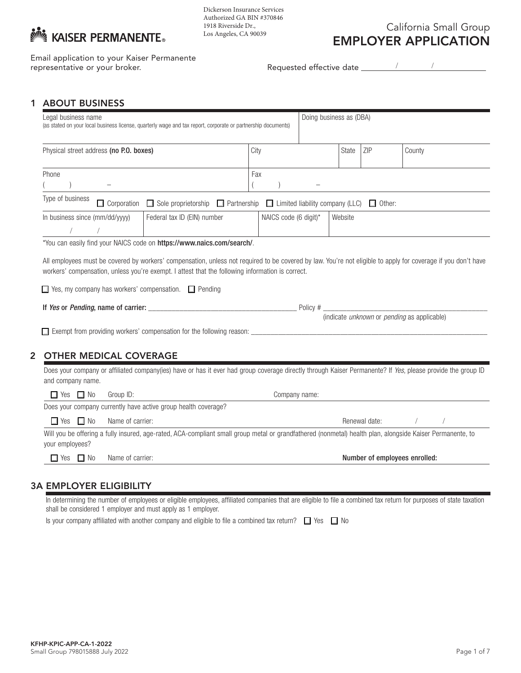

Dickerson Insurance Services Authorized GA BIN #370846 1918 Riverside Dr., Los Angeles, CA 90039

California Small Group EMPLOYER APPLICATION

Email application to your Kaiser Permanente representative or your broker.

/ /

## 1 ABOUT BUSINESS

| Legal business name<br>(as stated on your local business license, quarterly wage and tax report, corporate or partnership documents) |                  |                                                                                                                                                                      |  |                       | Doing business as (DBA) |         |                               |        |            |  |
|--------------------------------------------------------------------------------------------------------------------------------------|------------------|----------------------------------------------------------------------------------------------------------------------------------------------------------------------|--|-----------------------|-------------------------|---------|-------------------------------|--------|------------|--|
| Physical street address (no P.O. boxes)                                                                                              |                  |                                                                                                                                                                      |  | City                  |                         | State   | ZIP                           | County |            |  |
| Phone                                                                                                                                |                  |                                                                                                                                                                      |  | Fax                   |                         |         |                               |        |            |  |
| Type of business                                                                                                                     |                  | □ Corporation □ Sole proprietorship □ Partnership □ Limited liability company (LLC) □ Other:                                                                         |  |                       |                         |         |                               |        |            |  |
| In business since (mm/dd/yyyy)<br>$\sqrt{2}$                                                                                         |                  | Federal tax ID (EIN) number                                                                                                                                          |  | NAICS code (6 digit)* |                         | Website |                               |        |            |  |
|                                                                                                                                      |                  | workers' compensation, unless you're exempt. I attest that the following information is correct.<br>$\Box$ Yes, my company has workers' compensation. $\Box$ Pending |  |                       |                         |         |                               |        |            |  |
|                                                                                                                                      |                  |                                                                                                                                                                      |  |                       |                         |         |                               |        |            |  |
| <b>OTHER MEDICAL COVERAGE</b>                                                                                                        |                  | Does your company or affiliated company(ies) have or has it ever had group coverage directly through Kaiser Permanente? If Yes, please provide the group ID          |  |                       |                         |         |                               |        |            |  |
| and company name.                                                                                                                    |                  |                                                                                                                                                                      |  |                       |                         |         |                               |        |            |  |
| $\Box$ Yes $\Box$ No                                                                                                                 | Group ID:        |                                                                                                                                                                      |  |                       | Company name:           |         |                               |        |            |  |
|                                                                                                                                      |                  | Does your company currently have active group health coverage?                                                                                                       |  |                       |                         |         |                               |        |            |  |
| $\Box$ Yes $\Box$ No                                                                                                                 | Name of carrier: |                                                                                                                                                                      |  |                       |                         |         | Renewal date: /               |        | $\sqrt{2}$ |  |
| your employees?                                                                                                                      |                  | Will you be offering a fully insured, age-rated, ACA-compliant small group metal or grandfathered (nonmetal) health plan, alongside Kaiser Permanente, to            |  |                       |                         |         |                               |        |            |  |
| $\Box$ Yes $\Box$ No                                                                                                                 | Name of carrier: |                                                                                                                                                                      |  |                       |                         |         | Number of employees enrolled: |        |            |  |

## 3A EMPLOYER ELIGIBILITY

In determining the number of employees or eligible employees, affiliated companies that are eligible to file a combined tax return for purposes of state taxation shall be considered 1 employer and must apply as 1 employer.

Is your company affiliated with another company and eligible to file a combined tax return?  $\Box$  Yes  $\Box$  No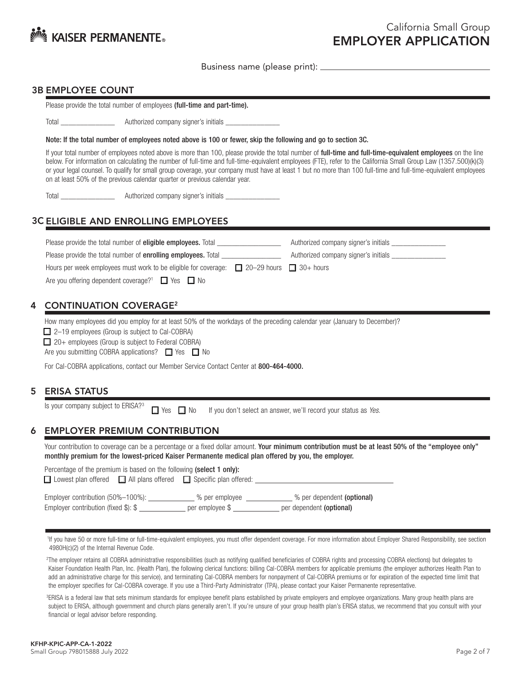

#### 3B EMPLOYEE COUNT

Please provide the total number of employees (full-time and part-time).

Total \_\_\_\_\_\_\_\_\_\_\_\_\_\_\_\_\_\_\_\_\_\_\_\_\_ Authorized company signer's initials \_

Note: If the total number of employees noted above is 100 or fewer, skip the following and go to section 3C.

If your total number of employees noted above is more than 100, please provide the total number of full-time and full-time-equivalent employees on the line below. For information on calculating the number of full-time and full-time-equivalent employees (FTE), refer to the California Small Group Law (1357.500)(k)(3) or your legal counsel. To qualify for small group coverage, your company must have at least 1 but no more than 100 full-time and full-time-equivalent employees on at least 50% of the previous calendar quarter or previous calendar year.

Total \_\_\_\_\_\_\_\_\_\_\_\_\_\_\_\_\_\_\_\_\_\_\_\_\_ Authorized company signer's initials \_

## 3C ELIGIBLE AND ENROLLING EMPLOYEES

| Please provide the total number of <b>eligible employees.</b> Total                                 | Authorized company signer's initials |  |  |
|-----------------------------------------------------------------------------------------------------|--------------------------------------|--|--|
| Please provide the total number of <b>enrolling employees.</b> Total                                | Authorized company signer's initials |  |  |
| Hours per week employees must work to be eligible for coverage: $\Box$ 20–29 hours $\Box$ 30+ hours |                                      |  |  |
| Are you offering dependent coverage? <sup>1</sup> $\Box$ Yes $\Box$ No                              |                                      |  |  |

## 4 CONTINUATION COVERAGE<sup>2</sup>

How many employees did you employ for at least 50% of the workdays of the preceding calendar year (January to December)?

■ 2–19 employees (Group is subject to Cal-COBRA)

 $\Box$  20+ employees (Group is subject to Federal COBRA)

Are you submitting COBRA applications?  $\Box$  Yes  $\Box$  No

For Cal-COBRA applications, contact our Member Service Contact Center at 800-464-4000.

## 5 ERISA STATUS

Is your company subject to ERISA?3

■ Yes ■ No If you don't select an answer, we'll record your status as Yes.

## 6 EMPLOYER PREMIUM CONTRIBUTION

Your contribution to coverage can be a percentage or a fixed dollar amount. Your minimum contribution must be at least 50% of the "employee only" monthly premium for the lowest-priced Kaiser Permanente medical plan offered by you, the employer.

| Percentage of the premium is based on the following (select 1 only):              |                                   |                                                        |  |  |  |  |  |
|-----------------------------------------------------------------------------------|-----------------------------------|--------------------------------------------------------|--|--|--|--|--|
| $\Box$ Lowest plan offered $\Box$ All plans offered $\Box$ Specific plan offered: |                                   |                                                        |  |  |  |  |  |
| Employer contribution (50%-100%):<br>Employer contribution (fixed \$): \$         | % per employee<br>per employee \$ | % per dependent (optional)<br>per dependent (optional) |  |  |  |  |  |

<sup>1</sup>If you have 50 or more full-time or full-time-equivalent employees, you must offer dependent coverage. For more information about Employer Shared Responsibility, see section 4980H(c)(2) of the Internal Revenue Code.

 2The employer retains all COBRA administrative responsibilities (such as notifying qualified beneficiaries of COBRA rights and processing COBRA elections) but delegates to Kaiser Foundation Health Plan, Inc. (Health Plan), the following clerical functions: billing Cal-COBRA members for applicable premiums (the employer authorizes Health Plan to add an administrative charge for this service), and terminating Cal-COBRA members for nonpayment of Cal-COBRA premiums or for expiration of the expected time limit that the employer specifies for Cal-COBRA coverage. If you use a Third-Party Administrator (TPA), please contact your Kaiser Permanente representative.

<sup>3</sup>ERISA is a federal law that sets minimum standards for employee benefit plans established by private employers and employee organizations. Many group health plans are subject to ERISA, although government and church plans generally aren't. If you're unsure of your group health plan's ERISA status, we recommend that you consult with your financial or legal advisor before responding.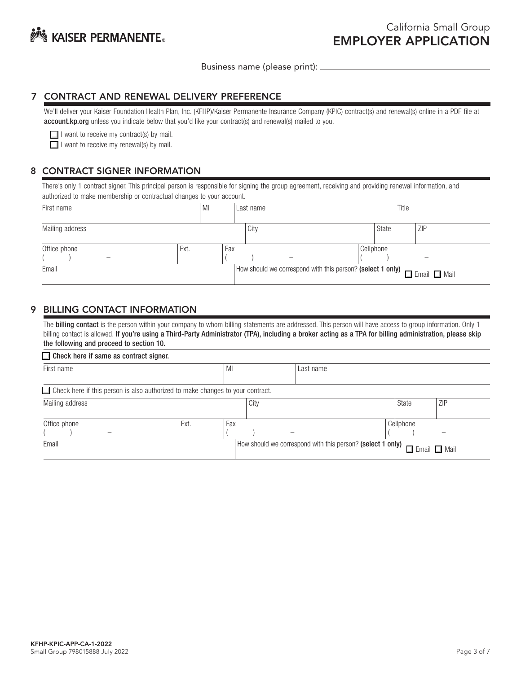

### 7 CONTRACT AND RENEWAL DELIVERY PREFERENCE

We'll deliver your Kaiser Foundation Health Plan, Inc. (KFHP)/Kaiser Permanente Insurance Company (KPIC) contract(s) and renewal(s) online in a PDF file at account.kp.org unless you indicate below that you'd like your contract(s) and renewal(s) mailed to you.

 $\Box$  I want to receive my contract(s) by mail.

 $\Box$  I want to receive my renewal(s) by mail.

## 8 CONTRACT SIGNER INFORMATION

There's only 1 contract signer. This principal person is responsible for signing the group agreement, receiving and providing renewal information, and authorized to make membership or contractual changes to your account.

| First name                               | MI   |     | Last name |                                                                                  |           | Title |            |
|------------------------------------------|------|-----|-----------|----------------------------------------------------------------------------------|-----------|-------|------------|
| Mailing address                          |      |     | City      |                                                                                  | State     |       | <b>ZIP</b> |
| Office phone<br>$\overline{\phantom{a}}$ | Ext. | Fax |           |                                                                                  | Cellphone |       | -          |
| Email                                    |      |     |           | Frail O Email C Mail (How should we correspond with this person? (select 1 only) |           |       |            |

## 9 BILLING CONTACT INFORMATION

The **billing contact** is the person within your company to whom billing statements are addressed. This person will have access to group information. Only 1 billing contact is allowed. If you're using a Third-Party Administrator (TPA), including a broker acting as a TPA for billing administration, please skip the following and proceed to section 10.

| $\Box$ Check here if same as contract signer.                                         |      |     |      |                                                            |           |                          |            |  |
|---------------------------------------------------------------------------------------|------|-----|------|------------------------------------------------------------|-----------|--------------------------|------------|--|
| First name                                                                            |      | MI  |      | Last name                                                  |           |                          |            |  |
| $\Box$ Check here if this person is also authorized to make changes to your contract. |      |     |      |                                                            |           |                          |            |  |
| Mailing address                                                                       |      |     | City |                                                            |           | State                    | <b>ZIP</b> |  |
| Office phone                                                                          | Ext. | Fax |      |                                                            | Cellphone |                          |            |  |
| Email                                                                                 |      |     |      | How should we correspond with this person? (select 1 only) |           | $\Box$ Email $\Box$ Mail |            |  |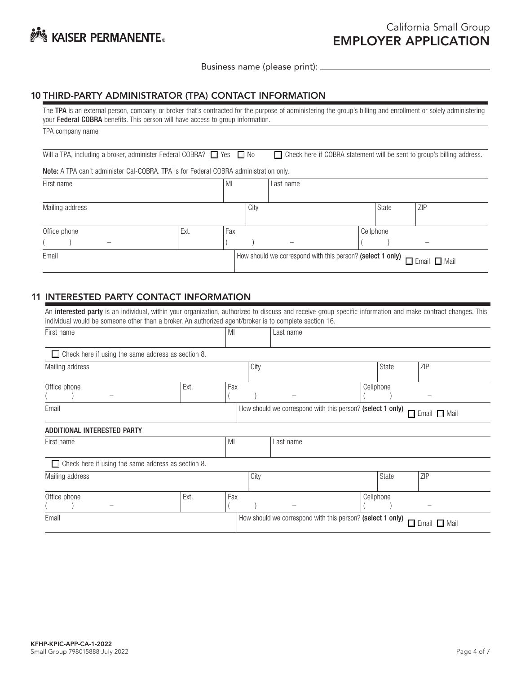

# 10 THIRD-PARTY ADMINISTRATOR (TPA) CONTACT INFORMATION

| The TPA is an external person, company, or broker that's contracted for the purpose of administering the group's billing and enrollment or solely administering<br>your Federal COBRA benefits. This person will have access to group information. |      |     |           |                                                            |  |           |                                                                               |
|----------------------------------------------------------------------------------------------------------------------------------------------------------------------------------------------------------------------------------------------------|------|-----|-----------|------------------------------------------------------------|--|-----------|-------------------------------------------------------------------------------|
| TPA company name                                                                                                                                                                                                                                   |      |     |           |                                                            |  |           |                                                                               |
| Will a TPA, including a broker, administer Federal COBRA? $\Box$ Yes $\Box$ No                                                                                                                                                                     |      |     |           |                                                            |  |           | $\Box$ Check here if COBRA statement will be sent to group's billing address. |
| <b>Note:</b> A TPA can't administer Cal-COBRA. TPA is for Federal COBRA administration only.                                                                                                                                                       |      |     |           |                                                            |  |           |                                                                               |
| First name                                                                                                                                                                                                                                         |      |     | Last name |                                                            |  |           |                                                                               |
| Mailing address                                                                                                                                                                                                                                    |      |     | City      |                                                            |  | State     | ZIP                                                                           |
| Office phone                                                                                                                                                                                                                                       | Ext. | Fax |           |                                                            |  | Cellphone |                                                                               |
|                                                                                                                                                                                                                                                    |      |     |           |                                                            |  |           |                                                                               |
| Email                                                                                                                                                                                                                                              |      |     |           | How should we correspond with this person? (select 1 only) |  |           | П<br>$\Box$ Mail<br>. Email                                                   |
|                                                                                                                                                                                                                                                    |      |     |           |                                                            |  |           |                                                                               |

## 11 INTERESTED PARTY CONTACT INFORMATION

| An <b>interested party</b> is an individual, within your organization, authorized to discuss and receive group specific information and make contract changes. This<br>individual would be someone other than a broker. An authorized agent/broker is to complete section 16. |      |     |      |                                                            |           |                             |
|-------------------------------------------------------------------------------------------------------------------------------------------------------------------------------------------------------------------------------------------------------------------------------|------|-----|------|------------------------------------------------------------|-----------|-----------------------------|
| First name                                                                                                                                                                                                                                                                    |      | MI  |      | Last name                                                  |           |                             |
| $\Box$ Check here if using the same address as section 8.                                                                                                                                                                                                                     |      |     |      |                                                            |           |                             |
| Mailing address                                                                                                                                                                                                                                                               |      |     | City |                                                            | State     | ZIP                         |
| Office phone                                                                                                                                                                                                                                                                  | Ext. | Fax |      |                                                            | Cellphone |                             |
| Email                                                                                                                                                                                                                                                                         |      |     |      | How should we correspond with this person? (select 1 only) |           | $\Box$ Email $\Box$ Mail    |
| ADDITIONAL INTERESTED PARTY                                                                                                                                                                                                                                                   |      |     |      |                                                            |           |                             |
| First name                                                                                                                                                                                                                                                                    |      | MI  |      | Last name                                                  |           |                             |
| $\Box$ Check here if using the same address as section 8.                                                                                                                                                                                                                     |      |     |      |                                                            |           |                             |
| Mailing address                                                                                                                                                                                                                                                               |      |     | City |                                                            | State     | ZIP                         |
| Office phone                                                                                                                                                                                                                                                                  | Ext. | Fax |      |                                                            | Cellphone |                             |
| Email                                                                                                                                                                                                                                                                         |      |     |      | How should we correspond with this person? (select 1 only) |           | $\Box$ Email<br>$\Box$ Mail |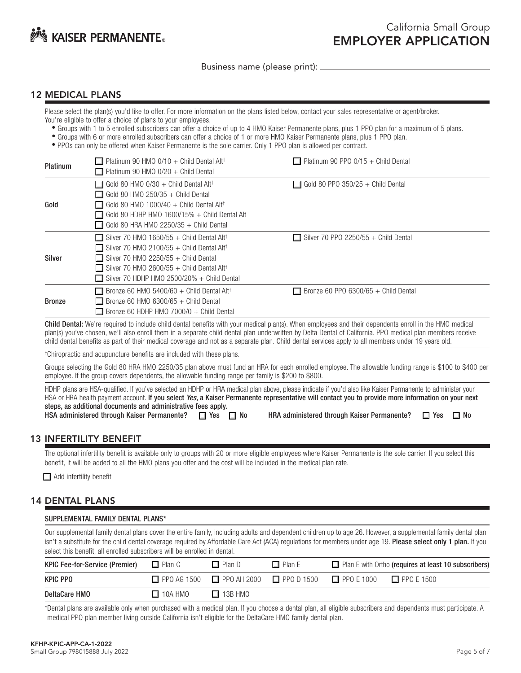

#### 12 MEDICAL PLANS

Please select the plan(s) you'd like to offer. For more information on the plans listed below, contact your sales representative or agent/broker. You're eligible to offer a choice of plans to your employees.

- Groups with 1 to 5 enrolled subscribers can offer a choice of up to 4 HMO Kaiser Permanente plans, plus 1 PPO plan for a maximum of 5 plans.
- Groups with 6 or more enrolled subscribers can offer a choice of 1 or more HMO Kaiser Permanente plans, plus 1 PPO plan.
- PPOs can only be offered when Kaiser Permanente is the sole carrier. Only 1 PPO plan is allowed per contract.

| Platinum      | $\Box$ Platinum 90 HMO 0/10 + Child Dental Alt <sup>+</sup><br>$\Box$ Platinum 90 HMO 0/20 + Child Dental                                                                                                                                                                                        | $\Box$ Platinum 90 PPO 0/15 + Child Dental  |  |
|---------------|--------------------------------------------------------------------------------------------------------------------------------------------------------------------------------------------------------------------------------------------------------------------------------------------------|---------------------------------------------|--|
| Gold          | $\Box$ Gold 80 HMO 0/30 + Child Dental Alt <sup>+</sup><br>$\Box$ Gold 80 HMO 250/35 + Child Dental<br>$\Box$ Gold 80 HMO 1000/40 + Child Dental Alt <sup>+</sup><br>$\Box$ Gold 80 HDHP HMO 1600/15% + Child Dental Alt<br>$\Box$ Gold 80 HRA HMO 2250/35 + Child Dental                        | $\Box$ Gold 80 PPO 350/25 + Child Dental    |  |
| Silver        | $\Box$ Silver 70 HMO 1650/55 + Child Dental Alt <sup>+</sup><br>$\Box$ Silver 70 HMO 2100/55 + Child Dental Alt <sup>+</sup><br>$\Box$ Silver 70 HMO 2250/55 + Child Dental<br>$\Box$ Silver 70 HMO 2600/55 + Child Dental Alt <sup>+</sup><br>$\Box$ Silver 70 HDHP HMO 2500/20% + Child Dental | $\Box$ Silver 70 PPO 2250/55 + Child Dental |  |
| <b>Bronze</b> | $\Box$ Bronze 60 HMO 5400/60 + Child Dental Alt <sup>†</sup><br>$\Box$ Bronze 60 HMO 6300/65 + Child Dental<br>$\Box$ Bronze 60 HDHP HMO 7000/0 + Child Dental                                                                                                                                   | $\Box$ Bronze 60 PPO 6300/65 + Child Dental |  |

Child Dental: We're required to include child dental benefits with your medical plan(s). When employees and their dependents enroll in the HMO medical plan(s) you've chosen, we'll also enroll them in a separate child dental plan underwritten by Delta Dental of California. PPO medical plan members receive child dental benefits as part of their medical coverage and not as a separate plan. Child dental services apply to all members under 19 years old.

† Chiropractic and acupuncture benefits are included with these plans.

Groups selecting the Gold 80 HRA HMO 2250/35 plan above must fund an HRA for each enrolled employee. The allowable funding range is \$100 to \$400 per employee. If the group covers dependents, the allowable funding range per family is \$200 to \$800.

HDHP plans are HSA-qualified. If you've selected an HDHP or HRA medical plan above, please indicate if you'd also like Kaiser Permanente to administer your HSA or HRA health payment account. If you select *Yes*, a Kaiser Permanente representative will contact you to provide more information on your next steps, as additional documents and administrative fees apply. HSA administered through Kaiser Permanente?  $\Box$  Yes  $\Box$  No HRA administered through Kaiser Permanente?  $\Box$  Yes  $\Box$  No

## 13 INFERTILITY BENEFIT

The optional infertility benefit is available only to groups with 20 or more eligible employees where Kaiser Permanente is the sole carrier. If you select this benefit, it will be added to all the HMO plans you offer and the cost will be included in the medical plan rate.

Add infertility benefit

## 14 DENTAL PLANS

| SUPPLEMENTAL FAMILY DENTAL PLANS* |  |  |
|-----------------------------------|--|--|
|                                   |  |  |

Our supplemental family dental plans cover the entire family, including adults and dependent children up to age 26. However, a supplemental family dental plan isn't a substitute for the child dental coverage required by Affordable Care Act (ACA) regulations for members under age 19. Please select only 1 plan. If you select this benefit, all enrolled subscribers will be enrolled in dental.

| <b>KPIC Fee-for-Service (Premier)</b> | $\Box$ Plan C  | $\Box$ Plan D                                                                               | $\Box$ Plan E | $\Box$ Plan E with Ortho (requires at least 10 subscribers) |
|---------------------------------------|----------------|---------------------------------------------------------------------------------------------|---------------|-------------------------------------------------------------|
| KPIC PPO                              |                | $\Box$ PPO AG 1500 $\Box$ PPO AH 2000 $\Box$ PPO D 1500 $\Box$ PPO E 1000 $\Box$ PPO E 1500 |               |                                                             |
| DeltaCare HMO                         | $\Box$ 10A HMO | $\Box$ 13B HMO                                                                              |               |                                                             |

\*Dental plans are available only when purchased with a medical plan. If you choose a dental plan, all eligible subscribers and dependents must participate. A medical PPO plan member living outside California isn't eligible for the DeltaCare HMO family dental plan.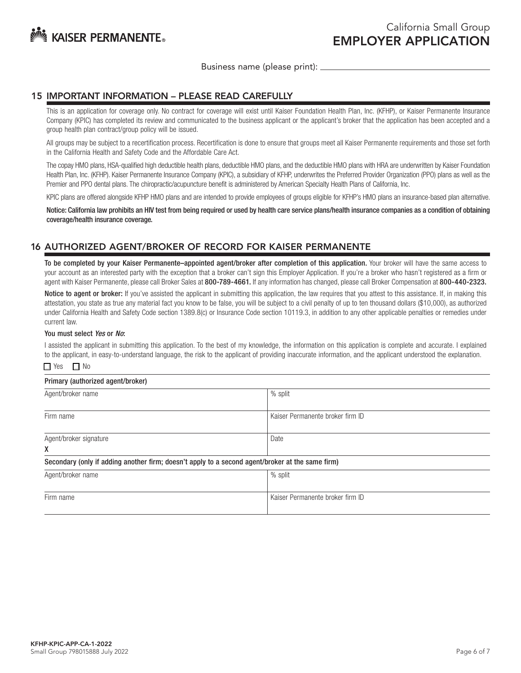

### 15 IMPORTANT INFORMATION – PLEASE READ CAREFULLY

This is an application for coverage only. No contract for coverage will exist until Kaiser Foundation Health Plan, Inc. (KFHP), or Kaiser Permanente Insurance Company (KPIC) has completed its review and communicated to the business applicant or the applicant's broker that the application has been accepted and a group health plan contract/group policy will be issued.

All groups may be subject to a recertification process. Recertification is done to ensure that groups meet all Kaiser Permanente requirements and those set forth in the California Health and Safety Code and the Affordable Care Act.

The copay HMO plans, HSA-qualified high deductible health plans, deductible HMO plans, and the deductible HMO plans with HRA are underwritten by Kaiser Foundation Health Plan, Inc. (KFHP). Kaiser Permanente Insurance Company (KPIC), a subsidiary of KFHP, underwrites the Preferred Provider Organization (PPO) plans as well as the Premier and PPO dental plans. The chiropractic/acupuncture benefit is administered by American Specialty Health Plans of California, Inc.

KPIC plans are offered alongside KFHP HMO plans and are intended to provide employees of groups eligible for KFHP's HMO plans an insurance-based plan alternative.

Notice: California law prohibits an HIV test from being required or used by health care service plans/health insurance companies as a condition of obtaining coverage/health insurance coverage.

## 16 AUTHORIZED AGENT/BROKER OF RECORD FOR KAISER PERMANENTE

To be completed by your Kaiser Permanente–appointed agent/broker after completion of this application. Your broker will have the same access to your account as an interested party with the exception that a broker can't sign this Employer Application. If you're a broker who hasn't registered as a firm or agent with Kaiser Permanente, please call Broker Sales at 800-789-4661. If any information has changed, please call Broker Compensation at 800-440-2323.

Notice to agent or broker: If you've assisted the applicant in submitting this application, the law requires that you attest to this assistance. If, in making this attestation, you state as true any material fact you know to be false, you will be subject to a civil penalty of up to ten thousand dollars (\$10,000), as authorized under California Health and Safety Code section 1389.8(c) or Insurance Code section 10119.3, in addition to any other applicable penalties or remedies under current law.

#### You must select *Yes* or *No*:

I assisted the applicant in submitting this application. To the best of my knowledge, the information on this application is complete and accurate. I explained to the applicant, in easy-to-understand language, the risk to the applicant of providing inaccurate information, and the applicant understood the explanation.

#### $\Box$  Yes  $\Box$  No

| Primary (authorized agent/broker)                                                                |                                  |
|--------------------------------------------------------------------------------------------------|----------------------------------|
| Agent/broker name                                                                                | % split                          |
| Firm name                                                                                        | Kaiser Permanente broker firm ID |
| Agent/broker signature                                                                           | Date                             |
| X                                                                                                |                                  |
| Secondary (only if adding another firm; doesn't apply to a second agent/broker at the same firm) |                                  |
| Agent/broker name                                                                                | % split                          |
|                                                                                                  |                                  |
| Firm name                                                                                        | Kaiser Permanente broker firm ID |